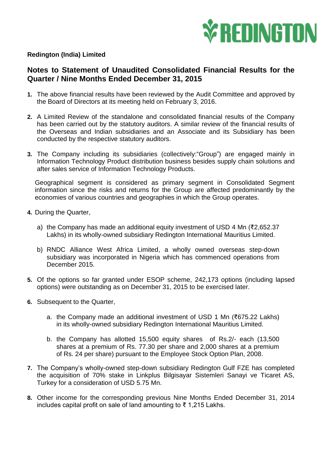

## **Redington (India) Limited**

## **Notes to Statement of Unaudited Consolidated Financial Results for the Quarter / Nine Months Ended December 31, 2015**

- **1.** The above financial results have been reviewed by the Audit Committee and approved by the Board of Directors at its meeting held on February 3, 2016.
- **2.** A Limited Review of the standalone and consolidated financial results of the Company has been carried out by the statutory auditors. A similar review of the financial results of the Overseas and Indian subsidiaries and an Associate and its Subsidiary has been conducted by the respective statutory auditors.
- **3.** The Company including its subsidiaries (collectively:"Group") are engaged mainly in Information Technology Product distribution business besides supply chain solutions and after sales service of Information Technology Products.

Geographical segment is considered as primary segment in Consolidated Segment information since the risks and returns for the Group are affected predominantly by the economies of various countries and geographies in which the Group operates.

- **4.** During the Quarter,
	- a) the Company has made an additional equity investment of USD 4 Mn (₹2,652.37 Lakhs) in its wholly-owned subsidiary Redington International Mauritius Limited.
	- b) RNDC Alliance West Africa Limited, a wholly owned overseas step-down subsidiary was incorporated in Nigeria which has commenced operations from December 2015.
- **5.** Of the options so far granted under ESOP scheme, 242,173 options (including lapsed options) were outstanding as on December 31, 2015 to be exercised later.
- **6.** Subsequent to the Quarter,
	- a. the Company made an additional investment of USD 1 Mn (₹675.22 Lakhs) in its wholly-owned subsidiary Redington International Mauritius Limited.
	- b. the Company has allotted 15,500 equity shares of Rs.2/- each (13,500 shares at a premium of Rs. 77.30 per share and 2,000 shares at a premium of Rs. 24 per share) pursuant to the Employee Stock Option Plan, 2008.
- **7.** The Company's wholly-owned step-down subsidiary Redington Gulf FZE has completed the acquisition of 70% stake in Linkplus Bilgisayar Sistemleri Sanayi ve Ticaret AS, Turkey for a consideration of USD 5.75 Mn.
- **8.** Other income for the corresponding previous Nine Months Ended December 31, 2014 includes capital profit on sale of land amounting to ₹ 1,215 Lakhs.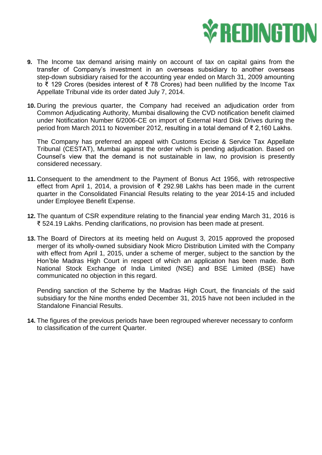

- **9.** The Income tax demand arising mainly on account of tax on capital gains from the transfer of Company's investment in an overseas subsidiary to another overseas step-down subsidiary raised for the accounting year ended on March 31, 2009 amounting to ₹ 129 Crores (besides interest of ₹ 78 Crores) had been nullified by the Income Tax Appellate Tribunal vide its order dated July 7, 2014.
- **10.** During the previous quarter, the Company had received an adjudication order from Common Adjudicating Authority, Mumbai disallowing the CVD notification benefit claimed under Notification Number 6/2006-CE on import of External Hard Disk Drives during the period from March 2011 to November 2012, resulting in a total demand of ₹ 2,160 Lakhs.

The Company has preferred an appeal with Customs Excise & Service Tax Appellate Tribunal (CESTAT), Mumbai against the order which is pending adjudication. Based on Counsel's view that the demand is not sustainable in law, no provision is presently considered necessary.

- **11.** Consequent to the amendment to the Payment of Bonus Act 1956, with retrospective effect from April 1, 2014, a provision of ₹ 292.98 Lakhs has been made in the current quarter in the Consolidated Financial Results relating to the year 2014-15 and included under Employee Benefit Expense.
- **12.** The quantum of CSR expenditure relating to the financial year ending March 31, 2016 is ₹ 524.19 Lakhs. Pending clarifications, no provision has been made at present.
- **13.** The Board of Directors at its meeting held on August 3, 2015 approved the proposed merger of its wholly-owned subsidiary Nook Micro Distribution Limited with the Company with effect from April 1, 2015, under a scheme of merger, subject to the sanction by the Hon'ble Madras High Court in respect of which an application has been made. Both National Stock Exchange of India Limited (NSE) and BSE Limited (BSE) have communicated no objection in this regard.

Pending sanction of the Scheme by the Madras High Court, the financials of the said subsidiary for the Nine months ended December 31, 2015 have not been included in the Standalone Financial Results.

**14.** The figures of the previous periods have been regrouped wherever necessary to conform to classification of the current Quarter.